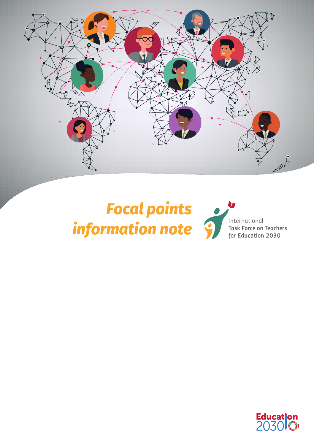

# *Focal points information note*



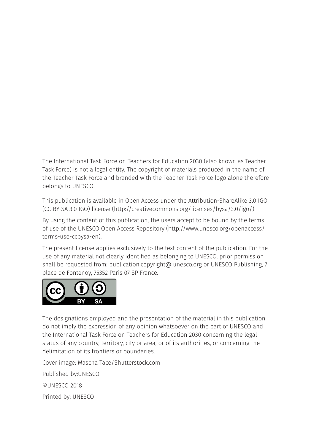The International Task Force on Teachers for Education 2030 (also known as Teacher Task Force) is not a legal entity. The copyright of materials produced in the name of the Teacher Task Force and branded with the Teacher Task Force logo alone therefore belongs to UNESCO.

This publication is available in Open Access under the Attribution-ShareAlike 3.0 IGO (CC-BY-SA 3.0 IGO) license (http://creativecommons.org/licenses/bysa/3.0/igo/).

By using the content of this publication, the users accept to be bound by the terms of use of the UNESCO Open Access Repository (http://www.unesco.org/openaccess/ terms-use-ccbysa-en).

The present license applies exclusively to the text content of the publication. For the use of any material not clearly identified as belonging to UNESCO, prior permission shall be requested from: publication.copyright@ unesco.org or UNESCO Publishing, 7, place de Fontenoy, 75352 Paris 07 SP France.



The designations employed and the presentation of the material in this publication do not imply the expression of any opinion whatsoever on the part of UNESCO and the International Task Force on Teachers for Education 2030 concerning the legal status of any country, territory, city or area, or of its authorities, or concerning the delimitation of its frontiers or boundaries.

Cover image: Mascha Tace/Shutterstock.com

Published by:UNESCO

©UNESCO 2018

Printed by: UNESCO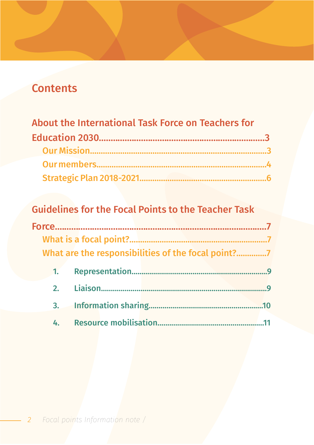## **Contents**

| About the International Task Force on Teachers for |  |
|----------------------------------------------------|--|
|                                                    |  |
|                                                    |  |
|                                                    |  |
|                                                    |  |

## **Guidelines for the Focal Points to the Teacher Task**

|                  | What are the responsibilities of the focal point?7 |                |
|------------------|----------------------------------------------------|----------------|
| $\overline{1}$ . |                                                    |                |
| 2 <sub>1</sub>   |                                                    | $\overline{q}$ |
|                  |                                                    | .10            |
|                  |                                                    |                |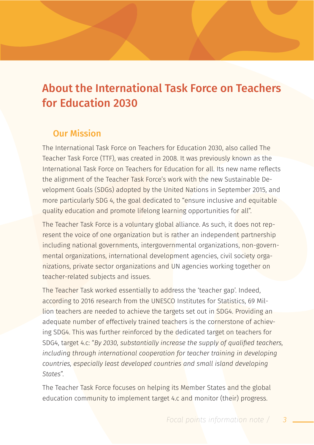## About the International Task Force on Teachers for Education 2030

#### Our Mission

The International Task Force on Teachers for Education 2030, also called The Teacher Task Force (TTF), was created in 2008. It was previously known as the International Task Force on Teachers for Education for all. Its new name reflects the alignment of the Teacher Task Force's work with the new Sustainable Development Goals (SDGs) adopted by the United Nations in September 2015, and more particularly SDG 4, the goal dedicated to "ensure inclusive and equitable quality education and promote lifelong learning opportunities for all".

The Teacher Task Force is a voluntary global alliance. As such, it does not represent the voice of one organization but is rather an independent partnership including national governments, intergovernmental organizations, non-governmental organizations, international development agencies, civil society organizations, private sector organizations and UN agencies working together on teacher-related subjects and issues.

The Teacher Task worked essentially to address the 'teacher gap'. Indeed, according to 2016 research from the UNESCO Institutes for Statistics, 69 Million teachers are needed to achieve the targets set out in SDG4. Providing an adequate number of effectively trained teachers is the cornerstone of achieving SDG4. This was further reinforced by the dedicated target on teachers for SDG4, target 4.c: "*By 2030, substantially increase the supply of qualified teachers, including through international cooperation for teacher training in developing countries, especially least developed countries and small island developing States*".

The Teacher Task Force focuses on helping its Member States and the global education community to implement target 4.c and monitor (their) progress.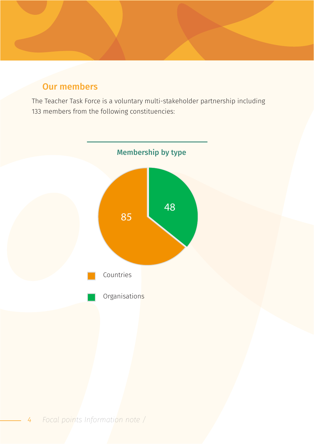## Our members

The Teacher Task Force is a voluntary multi-stakeholder partnership including 133 members from the following constituencies:

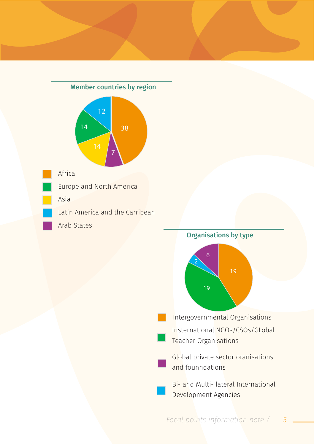



*Focal points information note / 5*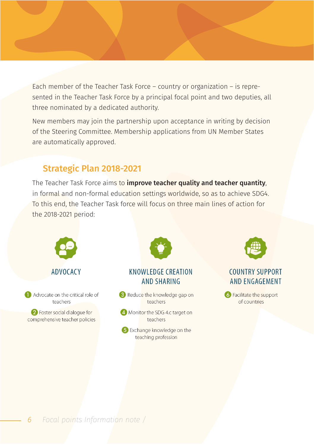Each member of the Teacher Task Force – country or organization – is represented in the Teacher Task Force by a principal focal point and two deputies, all three nominated by a dedicated authority.

New members may join the partnership upon acceptance in writing by decision of the Steering Committee. Membership applications from UN Member States are automatically approved.

## Strategic Plan 2018-2021

The Teacher Task Force aims to *improve teacher quality and teacher quantity*. in formal and non-formal education settings worldwide, so as to achieve SDG4. To this end, the Teacher Task force will focus on three main lines of action for the 2018-2021 period:

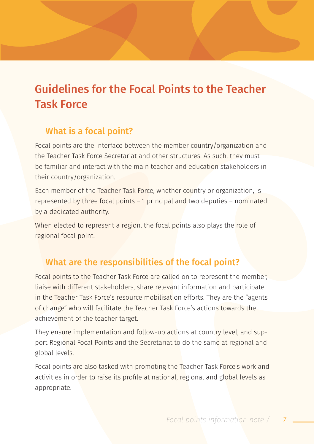## Guidelines for the Focal Points to the Teacher Task Force

## What is a focal point?

Focal points are the interface between the member country/organization and the Teacher Task Force Secretariat and other structures. As such, they must be familiar and interact with the main teacher and education stakeholders in their country/organization.

Each member of the Teacher Task Force, whether country or organization, is represented by three focal points – 1 principal and two deputies – nominated by a dedicated authority.

When elected to represent a region, the focal points also plays the role of regional focal point.

## What are the responsibilities of the focal point?

Focal points to the Teacher Task Force are called on to represent the member, liaise with different stakeholders, share relevant information and participate in the Teacher Task Force's resource mobilisation efforts. They are the "agents of change" who will facilitate the Teacher Task Force's actions towards the achievement of the teacher target.

They ensure implementation and follow-up actions at country level, and support Regional Focal Points and the Secretariat to do the same at regional and global levels.

Focal points are also tasked with promoting the Teacher Task Force's work and activities in order to raise its profile at national, regional and global levels as appropriate.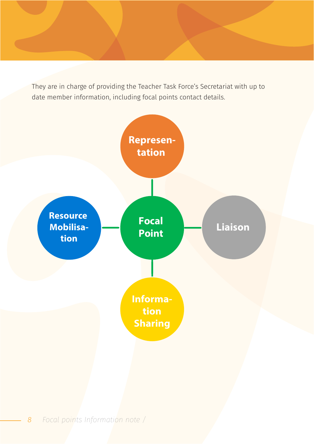They are in charge of providing the Teacher Task Force's Secretariat with up to date member information, including focal points contact details.

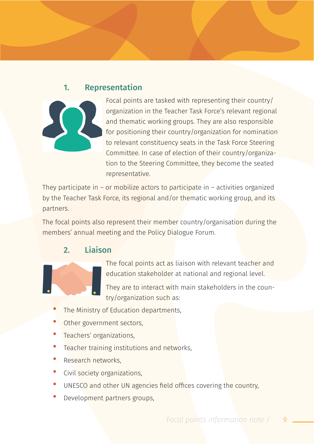#### 1. Representation



Focal points are tasked with representing their country/ organization in the Teacher Task Force's relevant regional and thematic working groups. They are also responsible for positioning their country/organization for nomination to relevant constituency seats in the Task Force Steering Committee. In case of election of their country/organization to the Steering Committee, they become the seated representative.

They participate in – or mobilize actors to participate in – activities organized by the Teacher Task Force, its regional and/or thematic working group, and its partners.

The focal points also represent their member country/organisation during the members' annual meeting and the Policy Dialogue Forum.

## 2. Liaison



The focal points act as liaison with relevant teacher and education stakeholder at national and regional level.

They are to interact with main stakeholders in the country/organization such as:

- The Ministry of Education departments,
- Other government sectors,
- Teachers' organizations,
- Teacher training institutions and networks,
- Research networks
- Civil society organizations,
- UNESCO and other UN agencies field offices covering the country.
- Development partners groups,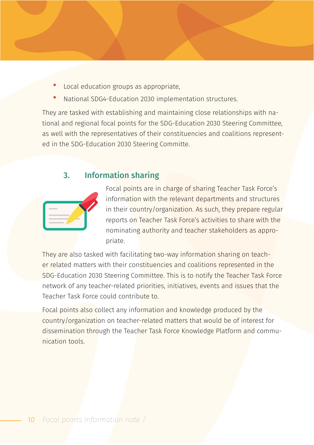- Local education groups as appropriate,
- National SDG4-Education 2030 implementation structures.

They are tasked with establishing and maintaining close relationships with national and regional focal points for the SDG-Education 2030 Steering Committee, as well with the representatives of their constituencies and coalitions represented in the SDG-Education 2030 Steering Committe.

#### 3. Information sharing

Focal points are in charge of sharing Teacher Task Force's information with the relevant departments and structures in their country/organization. As such, they prepare regular reports on Teacher Task Force's activities to share with the nominating authority and teacher stakeholders as appropriate.

They are also tasked with facilitating two-way information sharing on teacher related matters with their constituencies and coalitions represented in the SDG-Education 2030 Steering Committee. This is to notify the Teacher Task Force network of any teacher-related priorities, initiatives, events and issues that the Teacher Task Force could contribute to.

Focal points also collect any information and knowledge produced by the country/organization on teacher-related matters that would be of interest for dissemination through the Teacher Task Force Knowledge Platform and communication tools.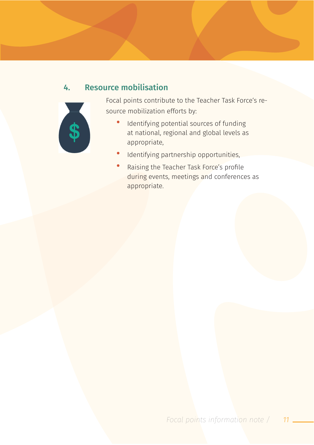## 4. Resource mobilisation



Focal points contribute to the Teacher Task Force's resource mobilization efforts by:

- Identifying potential sources of funding at national, regional and global levels as appropriate,
- Identifying partnership opportunities,
- Raising the Teacher Task Force's profile during events, meetings and conferences as appropriate.